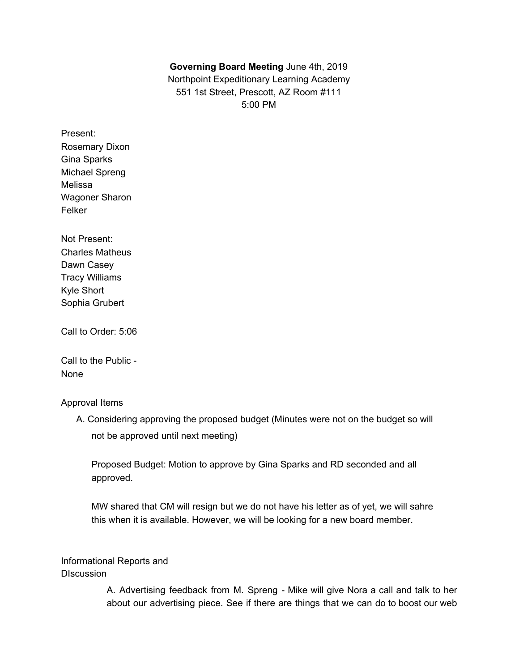## **Governing Board Meeting** June 4th, 2019

Northpoint Expeditionary Learning Academy 551 1st Street, Prescott, AZ Room #111 5:00 PM

- Present: Rosemary Dixon Gina Sparks Michael Spreng Melissa Wagoner Sharon Felker
- Not Present: Charles Matheus Dawn Casey Tracy Williams Kyle Short Sophia Grubert

Call to Order: 5:06

Call to the Public - None

## Approval Items

A. Considering approving the proposed budget (Minutes were not on the budget so will not be approved until next meeting)

Proposed Budget: Motion to approve by Gina Sparks and RD seconded and all approved.

MW shared that CM will resign but we do not have his letter as of yet, we will sahre this when it is available. However, we will be looking for a new board member.

Informational Reports and **DIscussion** 

> A. Advertising feedback from M. Spreng - Mike will give Nora a call and talk to her about our advertising piece. See if there are things that we can do to boost our web